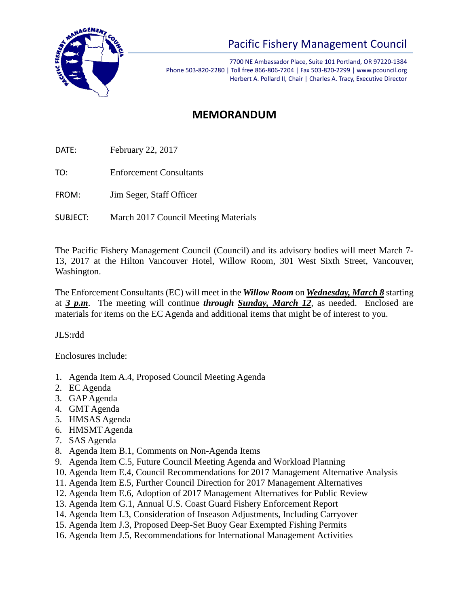

## Pacific Fishery Management Council

7700 NE Ambassador Place, Suite 101 Portland, OR 97220-1384 Phone 503-820-2280 | Toll free 866-806-7204 | Fax 503-820-2299 | www.pcouncil.org Herbert A. Pollard II, Chair | Charles A. Tracy, Executive Director

## **MEMORANDUM**

DATE: February 22, 2017

TO: Enforcement Consultants

FROM: Jim Seger, Staff Officer

SUBJECT: March 2017 Council Meeting Materials

The Pacific Fishery Management Council (Council) and its advisory bodies will meet March 7- 13, 2017 at the Hilton Vancouver Hotel, Willow Room, 301 West Sixth Street, Vancouver, Washington.

The Enforcement Consultants (EC) will meet in the *Willow Room* on *Wednesday, March 8* starting at *3 p.m*. The meeting will continue *through Sunday, March 12*, as needed. Enclosed are materials for items on the EC Agenda and additional items that might be of interest to you.

JLS:rdd

Enclosures include:

- 1. Agenda Item A.4, Proposed Council Meeting Agenda
- 2. EC Agenda
- 3. GAP Agenda
- 4. GMT Agenda
- 5. HMSAS Agenda
- 6. HMSMT Agenda
- 7. SAS Agenda
- 8. Agenda Item B.1, Comments on Non-Agenda Items
- 9. Agenda Item C.5, Future Council Meeting Agenda and Workload Planning
- 10. Agenda Item E.4, Council Recommendations for 2017 Management Alternative Analysis
- 11. Agenda Item E.5, Further Council Direction for 2017 Management Alternatives
- 12. Agenda Item E.6, Adoption of 2017 Management Alternatives for Public Review
- 13. Agenda Item G.1, Annual U.S. Coast Guard Fishery Enforcement Report
- 14. Agenda Item I.3, Consideration of Inseason Adjustments, Including Carryover
- 15. Agenda Item J.3, Proposed Deep-Set Buoy Gear Exempted Fishing Permits
- 16. Agenda Item J.5, Recommendations for International Management Activities